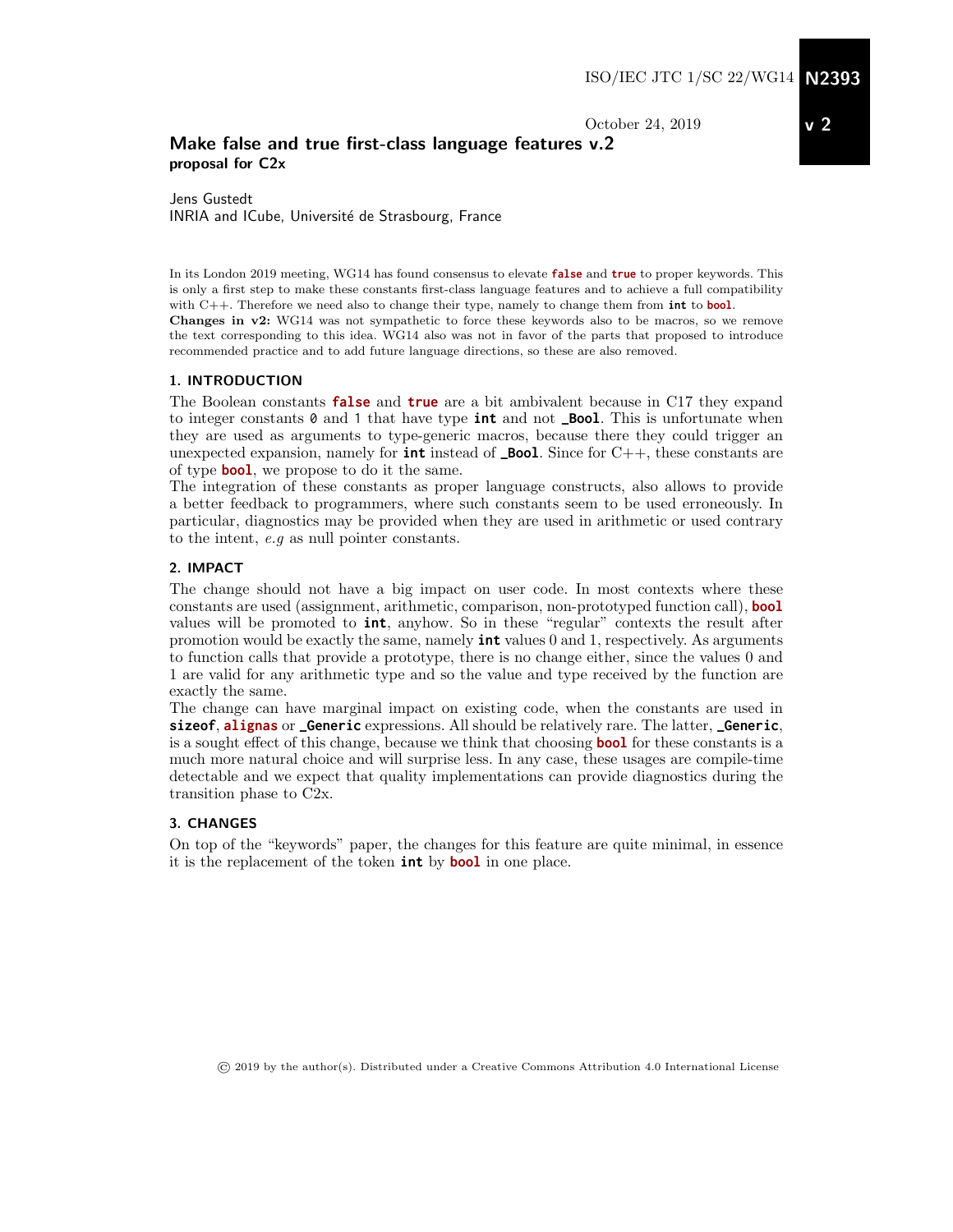October 24, 2019

### Make false and true first-class language features v.2 proposal for C2x

Jens Gustedt INRIA and ICube, Université de Strasbourg, France

In its London 2019 meeting, WG14 has found consensus to elevate **false** and **true** to proper keywords. This is only a first step to make these constants first-class language features and to achieve a full compatibility with C++. Therefore we need also to change their type, namely to change them from **int** to **bool**. Changes in v2: WG14 was not sympathetic to force these keywords also to be macros, so we remove the text corresponding to this idea. WG14 also was not in favor of the parts that proposed to introduce recommended practice and to add future language directions, so these are also removed.

#### 1. INTRODUCTION

The Boolean constants **false** and **true** are a bit ambivalent because in C17 they expand to integer constants 0 and 1 that have type **int** and not **\_Bool**. This is unfortunate when they are used as arguments to type-generic macros, because there they could trigger an unexpected expansion, namely for **int** instead of **\_Bool**. Since for C++, these constants are of type **bool**, we propose to do it the same.

The integration of these constants as proper language constructs, also allows to provide a better feedback to programmers, where such constants seem to be used erroneously. In particular, diagnostics may be provided when they are used in arithmetic or used contrary to the intent, e.g as null pointer constants.

#### 2. IMPACT

The change should not have a big impact on user code. In most contexts where these constants are used (assignment, arithmetic, comparison, non-prototyped function call), **bool** values will be promoted to **int**, anyhow. So in these "regular" contexts the result after promotion would be exactly the same, namely **int** values 0 and 1, respectively. As arguments to function calls that provide a prototype, there is no change either, since the values 0 and 1 are valid for any arithmetic type and so the value and type received by the function are exactly the same.

The change can have marginal impact on existing code, when the constants are used in **sizeof**, **alignas** or **\_Generic** expressions. All should be relatively rare. The latter, **\_Generic**, is a sought effect of this change, because we think that choosing **bool** for these constants is a much more natural choice and will surprise less. In any case, these usages are compile-time detectable and we expect that quality implementations can provide diagnostics during the transition phase to C2x.

#### 3. CHANGES

On top of the "keywords" paper, the changes for this feature are quite minimal, in essence it is the replacement of the token **int** by **bool** in one place.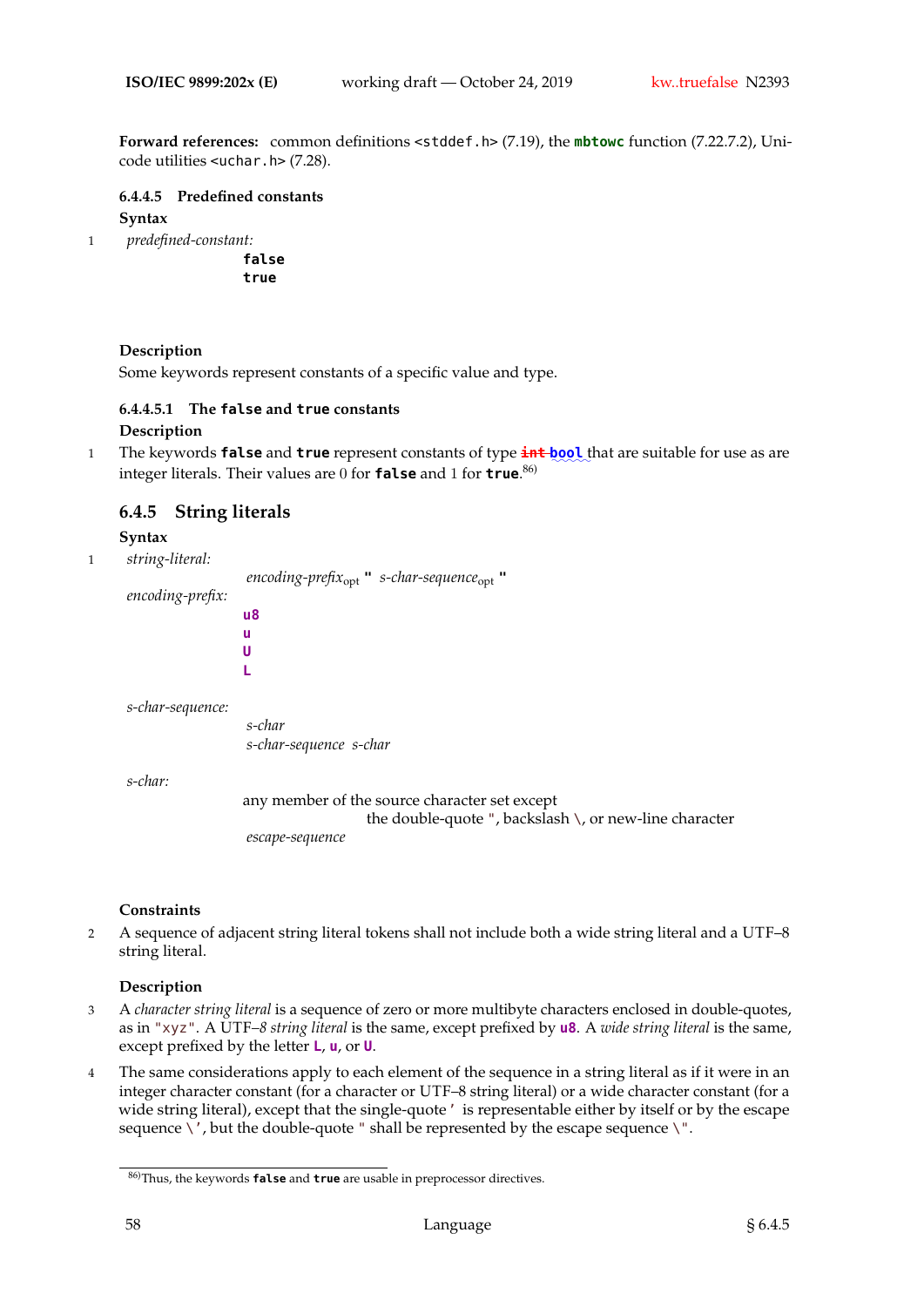**Forward references:** common definitions <stddef.h> (7.19), the **mbtowc** function (7.22.7.2), Unicode utilities <uchar.h> (7.28).

**6.4.4.5 Predefined constants**

**Syntax**

1 *predefined-constant:*

**false true**

## **Description**

Some keywords represent constants of a specific value and type.

## **6.4.4.5.1 The false and true constants**

## **Description**

1 The keywords **false** and **true** represent constants of type  $\frac{1}{100}$  that are suitable for use as are integer literals. Their values are 0 for **false** and 1 for **true**. 86)

## **6.4.5 String literals**

**Syntax**

1 *string-literal:*

*encoding-prefix*opt **"** *s-char-sequence*opt **"** *encoding-prefix:* **u8 u U L**

*s-char-sequence:*

*s-char s-char-sequence s-char*

*s-char:*

any member of the source character set except the double-quote ", backslash \, or new-line character *escape-sequence*

#### **Constraints**

2 A sequence of adjacent string literal tokens shall not include both a wide string literal and a UTF–8 string literal.

## **Description**

- 3 A *character string literal* is a sequence of zero or more multibyte characters enclosed in double-quotes, as in "xyz". A UTF*–8 string literal* is the same, except prefixed by **u8**. A *wide string literal* is the same, except prefixed by the letter **L**, **u**, or **U**.
- 4 The same considerations apply to each element of the sequence in a string literal as if it were in an integer character constant (for a character or UTF–8 string literal) or a wide character constant (for a wide string literal), except that the single-quote' is representable either by itself or by the escape sequence  $\backslash'$ , but the double-quote " shall be represented by the escape sequence  $\backslash$ ".

<sup>86)</sup>Thus, the keywords **false** and **true** are usable in preprocessor directives.